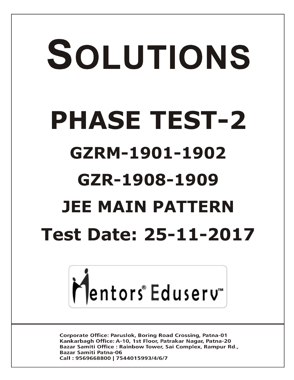# SOLUTIONS **PHASE TEST-2 GZRM-1901-1902 GZR-1908-1909 JEE MAIN PATTERN Test Date: 25-11-2017**



**Corporate Office: Paruslok, Boring Road Crossing, Patna-01** Kankarbagh Office: A-10, 1st Floor, Patrakar Nagar, Patna-20 Bazar Samiti Office: Rainbow Tower, Sai Complex, Rampur Rd., **Bazar Samiti Patna-06** Call: 9569668800 | 7544015993/4/6/7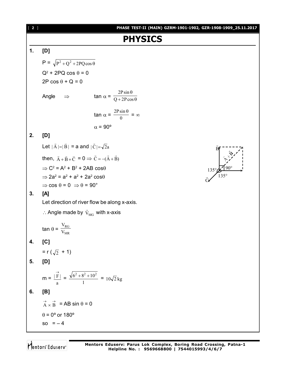

so  $=-4$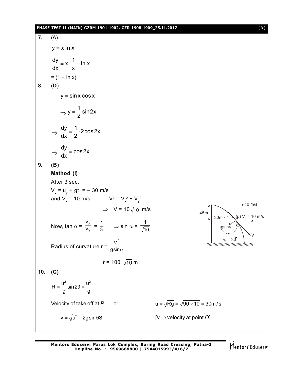# **PHASE TEST-II (MAIN) GZRM-1901-1902, GZR-1908-1909\_25.11.2017** [ **3** ]

| 7.  | (A)                                                                                                |                                               |
|-----|----------------------------------------------------------------------------------------------------|-----------------------------------------------|
|     | $y = x \ln x$                                                                                      |                                               |
| 8.  | $\frac{dy}{dx} = x \cdot \frac{1}{x} + \ln x$<br>$= (1 + \ln x)$<br>(D)                            |                                               |
|     | $y = \sin x \cos x$                                                                                |                                               |
|     | $\Rightarrow$ y = $\frac{1}{2}$ sin 2x                                                             |                                               |
|     | $\Rightarrow \frac{dy}{dx} = \frac{1}{2} \cdot 2 \cos 2x$                                          |                                               |
|     | $\Rightarrow \frac{dy}{dx} = \cos 2x$                                                              |                                               |
| 9.  | (B)                                                                                                |                                               |
|     | Mathod (I)                                                                                         |                                               |
|     | After 3 sec.                                                                                       |                                               |
|     | $V_v = u_v + gt = -30$ m/s                                                                         |                                               |
|     | and $V_x = 10 \text{ m/s}$ : $V^2 = V_x^2 + V_y^2$                                                 |                                               |
|     | $\Rightarrow$ V = 10 $\sqrt{10}$ m/s                                                               | $\div 10$ m/s<br>45m                          |
|     | Now, tan $\alpha = \frac{V_x}{V_y} = \frac{1}{3}$ $\Rightarrow$ sin $\alpha = \frac{1}{\sqrt{10}}$ | (p) $V_x = 10$ m/s<br>30m.<br>ιgsinα          |
|     | Radius of curvature r = $\frac{V_{\perp}^2}{g\sin\alpha}$                                          |                                               |
|     | $r = 100 \sqrt{10}$ m                                                                              |                                               |
| 10. | (C)                                                                                                |                                               |
|     | $R = \frac{u^2}{q} \sin 2\theta = \frac{u^2}{q}$                                                   |                                               |
|     | Velocity of take off at P<br>or                                                                    | $u = \sqrt{Rg} = \sqrt{90 \times 10} = 30m/s$ |
|     | $v = \sqrt{u^2 + 2gsin\theta S}$                                                                   | [ $v \rightarrow$ velocity at point O]        |
|     |                                                                                                    |                                               |

Mentors<sup>e</sup> Eduserv<sup>-</sup>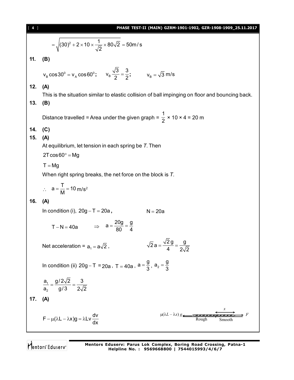| [4] | PHASE TEST-II (MAIN) GZRM-1901-1902, GZR-1908-1909_25.11.2017                                                 |
|-----|---------------------------------------------------------------------------------------------------------------|
|     | = $\sqrt{(30)^2 + 2 \times 10 \times \frac{1}{\sqrt{2}} \times 80\sqrt{2}} = 50$ m/s                          |
| 11. | (B)                                                                                                           |
|     | $v_B \cos 30^\circ = v_A \cos 60^\circ;$ $v_B \frac{\sqrt{3}}{2} = \frac{3}{2};$ $v_B = \sqrt{3} \text{ m/s}$ |
| 12. | (A)                                                                                                           |
| 13. | This is the situation similar to elastic collision of ball impinging on floor and bouncing back.<br>(B)       |
|     | Distance travelled = Area under the given graph = $\frac{1}{2}$ × 10 × 4 = 20 m                               |
| 14. | (C)                                                                                                           |
| 15. | (A)<br>At equilibrium, let tension in each spring be $T$ . Then                                               |
|     | $2T\cos 60^\circ = Mg$                                                                                        |
|     | $T = Mg$                                                                                                      |
|     | When right spring breaks, the net force on the block is T.                                                    |
|     | $\therefore$ a = $\frac{T}{M}$ = 10 m/s <sup>2</sup>                                                          |
| 16. | (A)                                                                                                           |
|     | In condition (i), $20g - T = 20a$ ,<br>$N = 20a$                                                              |
|     | $T - N = 40a$ $\Rightarrow$ $a = \frac{20g}{80} = \frac{g}{4}$                                                |
|     | $\sqrt{2} a = \frac{\sqrt{2} g}{4} = \frac{g}{2\sqrt{2}}$<br>Net acceleration = $a_1 = a\sqrt{2}$ ,           |
|     | In condition (ii) $20g - T = 20a$ , $T = 40a$ , $a = \frac{9}{3}$ , $a_2 = \frac{9}{3}$                       |
|     | $\frac{a_1}{a_2} = \frac{g/2\sqrt{2}}{g/3} = \frac{3}{2\sqrt{2}}$                                             |
| 17. | (A)                                                                                                           |
|     | $\mu(\lambda L - \lambda x) g$<br>$F - \mu(\lambda L - \lambda x)g = \lambda Lv \frac{dv}{dx}$<br>Smootl      |

Mentors<sup>\*</sup> Eduserv<sup>-</sup>

**Mentors Eduserv: Parus Lok Complex, Boring Road Crossing, Patna-1 Helpline No. : 9569668800 | 7544015993/4/6/7**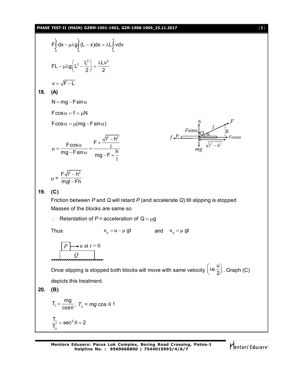**PHASE TEST-II (MAIN) GZRM-1901-1902, GZR-1908-1909\_25.11.2017** [ **5** ]

$$
F\int_{0}^{1} dx - \mu \lambda g \int_{0}^{1} (L - x) dx = \lambda L \int_{0}^{1} v dv
$$
  
\nFL
$$
-\mu \lambda g \left(L^{2} - \frac{L^{2}}{2}\right) = \frac{\lambda L v^{2}}{2}
$$
  
\n
$$
v = \sqrt{F - L}
$$
  
\n18. (A)  
\nN = mg - F sin \alpha  
\nF cos \alpha = f = \mu N  
\nF cos \alpha = f = \mu N  
\nF cos \alpha = f = \mu N  
\n  
\n
$$
\mu = \frac{F \sqrt{B - h^{2}}}{mg - F \sin \alpha} = \frac{F \times \frac{\sqrt{B - h^{2}}}{h}}{mg - F \times \frac{h}{1}}
$$
  
\n
$$
\mu = \frac{F \sqrt{B - h^{2}}}{mg - F \sin \alpha} = \frac{f \times \frac{\sqrt{B - h^{2}}}{h}}{mg - F \times \frac{h}{1}}
$$
  
\n19. (C)  
\nFrition between P and Q will retard P (and accelerate Q) till slipping is stopped  
\nMasses of the blocks are same so  
\n $\therefore$  Retardation of P = acceleration of Q =  $\mu$ g  
\nThus  
\n $V_{p} = u - \mu gt$  and  $V_{q} = \mu gt$   
\n $F \rightarrow u$  at  $t = 0$   
\n  
\nThus  
\n $F = \frac{h}{\sqrt{B - \mu}} \tan \frac{v}{\alpha} = \mu gt$   
\nOnce slipping is stopped both blocks will move with same velocity  $\left(i.e.\frac{u}{2}\right)$ . Graph (C)  
\ndepicts this treatment.  
\n20. (B)  
\n $T_{1} = \frac{mg}{\cos \theta}, T_{2} = mg \cos \theta$ 

Mentors<sup>e</sup> Eduserv<sup>-</sup>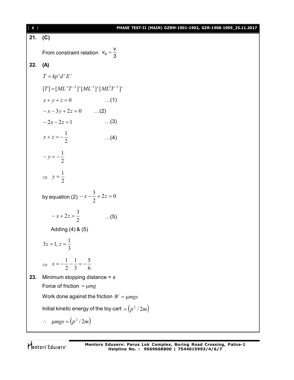**21. (C)** From constraint relation  $V_B$  $V_B = \frac{V}{2}$ 3  $=$ **22. (A)**  $T = kp^x d^y E^z$  $[T] = [ML^{-1}T^{-2}]^x [ML^{-3}]^y [ML^2T^{-2}]^z$  $x + y + z = 0$  …(1)  $-x-3y+2z=0$  …(2)  $-2x-2z=1$  …(3) 2 1  $\ldots$ (4) 2  $-y = -\frac{1}{2}$  $\Rightarrow$   $y = \frac{1}{2}$  $y = \frac{1}{2}$ by equation (2)  $-x - \frac{3}{2} + 2z = 0$ 2  $-x-\frac{3}{2}+2z=$ 2  $-x+2z=\frac{3}{2}$  ...(5) Adding (4) & (5) 3  $3z = 1, z = \frac{1}{2}$  $\Rightarrow$   $x=-\frac{1}{2}-\frac{1}{3}=-\frac{1}{6}$ 5 3 1 2  $x = -\frac{1}{2} - \frac{1}{3} = -$ **23.** Minimum stopping distance = *s* Force of friction  $= \mu mg$ Work done against the friction  $W = \mu mgs$ Initial kinetic energy of the toy cart  $= (p^2 / 2m)$  $\therefore$   $\mu mgs = (p^2 / 2m)$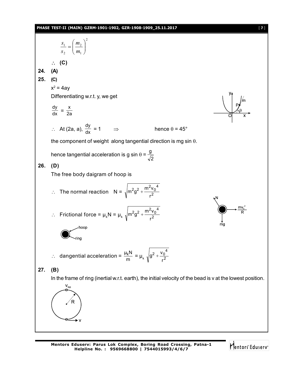### **PHASE TEST-II (MAIN) GZRM-1901-1902, GZR-1908-1909\_25.11.2017** [ **7** ]



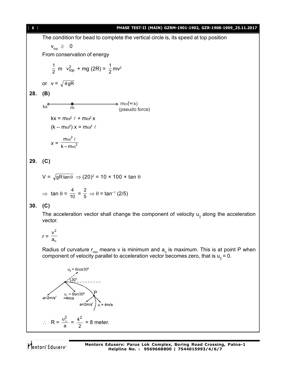### [ **8** ] **PHASE TEST-II (MAIN) GZRM-1901-1902, GZR-1908-1909\_25.11.2017**

The condition for bead to complete the vertical circle is, its speed at top position

$$
v_{\text{top}} \geq 0
$$

From conservation of energy

$$
\frac{1}{2} \text{ m } v_{\text{top}}^2 + \text{mg (2R)} = \frac{1}{2} \text{mv}^2
$$

or 
$$
v = \sqrt{4gR}
$$

**28. (B)**

$$
kx \xrightarrow{m} m \qquad m\omega^2 \ell x
$$
  
\n
$$
kx = m\omega^2 \ell + m\omega^2 x
$$
  
\n
$$
(k - m\omega^2) x = m\omega^2 \ell
$$
  
\n
$$
x = \frac{m\omega^2 \ell}{k - m\omega^2}
$$

**29. (C)**

$$
V = \sqrt{gR \tan \theta} \Rightarrow (20)^2 = 10 \times 100 \times \tan \theta
$$
  

$$
\Rightarrow \tan \theta = \frac{4}{10} = \frac{2}{5} \Rightarrow \theta = \tan^{-1}(2/5)
$$

# **30. (C)**

The acceleration vector shall change the component of velocity  $u_{\parallel}$  along the acceleration vector.

$$
r = \frac{v^2}{a_n}
$$

Radius of curvature  $r_{\text{min}}$  means v is minimum and  $a_{n}$  is maximum. This is at point P when component of velocity parallel to acceleration vector becomes zero, that is  $u_{\parallel}$  = 0.

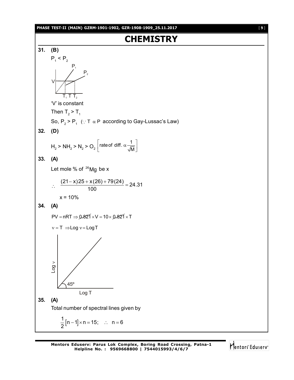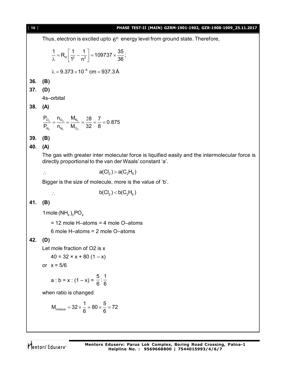Thus, electron is excited upto  $6<sup>th</sup>$  energy level from ground state. Therefore,  $\frac{1}{\gamma}$  = R<sub>H</sub>  $\left| \frac{1}{4^2} - \frac{1}{n^2} \right|$  = 109737  $\times \frac{35}{36}$ ;  $1^2$  n<sup>2</sup> 36  $\frac{1}{\lambda}$  = R<sub>H</sub> $\left[ \frac{1}{1^2} - \frac{1}{n^2} \right]$  = 109737 ×  $\frac{3}{3}$  $\lambda = 9.373 \times 10^{-6}$  cm =  $937.3$  Å **36. (B) 37. (D)** 4s–orbital **38. (A)** 2  $\sim$  2  $\sim$   $\frac{1}{2}$ 2  $N_2$   $N_2$  $O_2$   $O_2$   $N$  $N_2$   $N_2$   $N_0$  $\frac{P_{O_2}}{P_{O_2}} = \frac{N_{O_2}}{M} = \frac{M_{N_2}}{M} = \frac{28}{28} = \frac{7}{8} = 0.875$  $P_{N_0}$  n<sub>N</sub> M<sub>O2</sub> 32 8  $=\frac{N_{O_2}}{N_{O_2}}=\frac{M_{N_2}}{M_{O_2}}=\frac{28}{28}=7=0$ **39. (B) 40. (A)** The gas with greater inter molecular force is liquified easily and the intermolecular force is directly proportional to the van der Waals' constant 'a'. ∴  $a(Cl<sub>2</sub>) > a(C<sub>2</sub>H<sub>6</sub>)$ Bigger is the size of molecule, more is the value of 'b'.  $b(Cl_2) < b(C_2 H_6)$ **41. (B)** 1 mole  $(NH_4)_{3}$  PO<sub>4</sub> = 12 mole H–atoms = 4 mole O–atoms 6 mole H–atoms = 2 mole O–atoms **42. (D)** Let mole fraction of O2 is x  $40 = 32 \times x + 80 (1 - x)$ or  $x = 5/6$  $a : b = x : (1 - x) =$  $\frac{5}{2}$ :  $\frac{1}{3}$ 6 6 when ratio is changed  $M_{\text{mixture}} = 32 \times \frac{1}{6} + 80 \times \frac{5}{6} = 72$ 6 6  $=32 \times \frac{1}{2} + 80 \times \frac{3}{2} = 7$ 

[ **10** ] **PHASE TEST-II (MAIN) GZRM-1901-1902, GZR-1908-1909\_25.11.2017**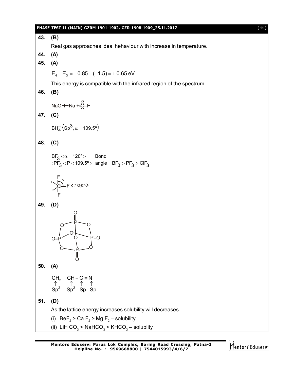|     | PHASE TEST-II (MAIN) GZRM-1901-1902, GZR-1908-1909_25.11.2017<br>$[11]$                                                                      |
|-----|----------------------------------------------------------------------------------------------------------------------------------------------|
| 43. | (B)                                                                                                                                          |
|     | Real gas approaches ideal hehaviour with increase in temperature.                                                                            |
| 44. | (A)                                                                                                                                          |
| 45. | (A)                                                                                                                                          |
|     | $E_4 - E_3 = -0.85 - (-1.5) = +0.65$ eV                                                                                                      |
|     | This energy is compatible with the infrared region of the spectrum.                                                                          |
| 46. | (B)                                                                                                                                          |
|     | NaOH→Na +:0-H                                                                                                                                |
| 47. | (C)                                                                                                                                          |
|     |                                                                                                                                              |
|     | $BH\overline{4}$ $\langle Sp^3, \alpha = 109.5^\circ \rangle$                                                                                |
| 48. | (C)                                                                                                                                          |
|     |                                                                                                                                              |
|     | $BF_3 < \alpha = 120^{\circ} >$ Bond<br>: $\overline{PF}_3$ < P < 109.5° > angle = $\overline{BF}_3$ > $\overline{PF}_3$ > $\overline{CH}_3$ |
|     |                                                                                                                                              |
|     | $\sum_{i=1}^{n}$ = < ? < 90°>                                                                                                                |
| 49. | (D)                                                                                                                                          |
|     | Ó<br>P=O<br>O=                                                                                                                               |
| 50. | (A)                                                                                                                                          |
|     | $\begin{array}{ccc}\nCH_2 = CH - C \equiv N \\ \uparrow & \uparrow & \uparrow \\ Sp^2 & Sp^2 & Sp & Sp\n\end{array}$                         |
| 51. |                                                                                                                                              |
|     | (D)<br>As the lattice energy increases solubility will decreases.                                                                            |
|     | (i) BeF <sub>2</sub> > Ca F <sub>2</sub> > Mg F <sub>2</sub> - solubility                                                                    |
|     | (ii) LiH $CO_3$ < NaHCO <sub>3</sub> < KHCO <sub>3</sub> – solublity                                                                         |
|     |                                                                                                                                              |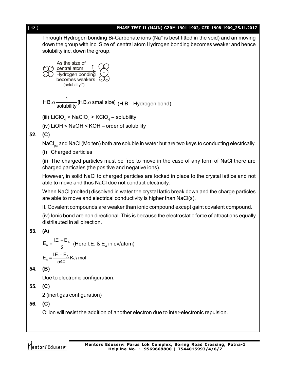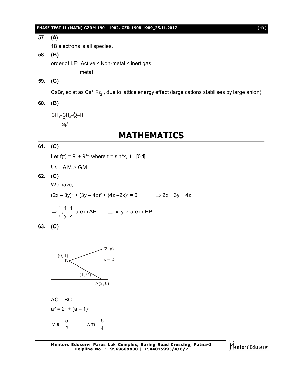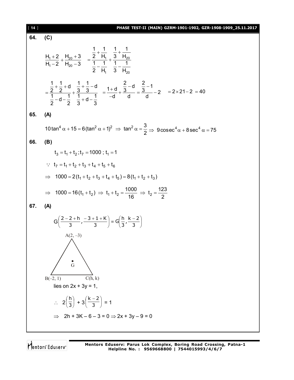| $[14]$ | EST-II (MAIN) GZRM-1901-1902, GZR-1908-1909_25.11.2017                                                                                                                                                                  |
|--------|-------------------------------------------------------------------------------------------------------------------------------------------------------------------------------------------------------------------------|
| 64.    | (C)                                                                                                                                                                                                                     |
|        | $\frac{H_1+2}{H_1-2}$ + $\frac{H_{20}+3}{H_{20}-3}$ = $\frac{\frac{1}{2} + \frac{1}{H_1}}{\frac{1}{2} + \frac{3}{H_1} + \frac{1}{1} + \frac{1}{1}}$                                                                     |
|        | $=\frac{\frac{1}{2}+\frac{1}{2}+d}{\frac{1}{2}-d-\frac{1}{2}}+\frac{\frac{1}{3}+\frac{1}{3}-d}{\frac{1}{2}+d-\frac{1}{2}}=\frac{1+d}{-d}+\frac{\frac{2}{3}-d}{d}=\frac{\frac{2}{3}-1}{d}-2=2\times21-2=40$              |
| 65.    | (A)                                                                                                                                                                                                                     |
|        | 10 tan <sup>4</sup> $\alpha$ + 15 = 6 (tan <sup>2</sup> $\alpha$ + 1) <sup>2</sup> $\Rightarrow$ tan <sup>2</sup> $\alpha = \frac{3}{2}$ $\Rightarrow$ 9 cosec <sup>4</sup> $\alpha$ + 8 sec <sup>4</sup> $\alpha$ = 75 |
| 66.    | (B)                                                                                                                                                                                                                     |
|        | $t_3 = t_1 + t_2$ ; $t_7 = 1000$ ; $t_1 = 1$                                                                                                                                                                            |
|        | : $t_7 = t_1 + t_2 + t_3 + t_4 + t_5 + t_6$                                                                                                                                                                             |
|        | $\Rightarrow$ 1000 = 2(t <sub>1</sub> + t <sub>2</sub> + t <sub>3</sub> + t <sub>4</sub> + t <sub>5</sub> ) = 8(t <sub>1</sub> + t <sub>2</sub> + t <sub>3</sub> )                                                      |
|        | ⇒ 1000 = 16(t <sub>1</sub> + t <sub>2</sub> ) ⇒ t <sub>1</sub> + t <sub>2</sub> = $\frac{1000}{16}$ ⇒ t <sub>2</sub> = $\frac{123}{2}$                                                                                  |
| 67.    | (A)                                                                                                                                                                                                                     |
|        | $G\left(\frac{2-2+h}{3},\frac{-3+1+K}{3}\right) \equiv G\left(\frac{h}{3},\frac{k-2}{3}\right)$                                                                                                                         |
|        | $A(2, -3)$<br>$\Delta$<br>$\mathbf{\hat{G}}$<br>C(h, k)<br>$B(-2, 1)$<br>lies on $2x + 3y = 1$ ,<br>$\therefore 2\left(\frac{h}{3}\right) + 3\left(\frac{k-2}{3}\right) = 1$                                            |
|        | $2h + 3K - 6 - 3 = 0 \Rightarrow 2x + 3y - 9 = 0$                                                                                                                                                                       |
|        |                                                                                                                                                                                                                         |

Mentors<sup>®</sup> Eduserv<sup>®</sup>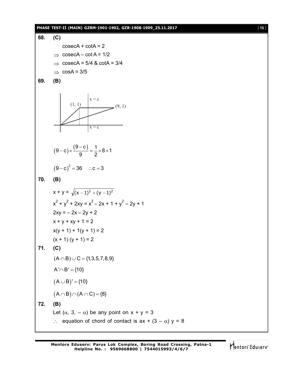## **PHASE TEST-II (MAIN) GZRM-1901-1902, GZR-1908-1909\_25.11.2017** [ **15** ]

68. (C)  
\n
$$
\csc A + \cot A = 2
$$
\n⇒  $\csc A - \cot A = 1/2$   
\n⇒  $\csc A = 5/4$  &  $\cot A = 3/4$   
\n⇒  $\cos A = 3/5$   
\n69. (B)  
\n
$$
(1, 1)
$$
\n
$$
x = c
$$
\n
$$
(1, 1)
$$
\n
$$
(9-c) \times \frac{(9-c)}{9} = \frac{1}{2} \times 8 \times 1
$$
\n
$$
(9-c)^2 = 36
$$
 ∴c = 3  
\n70. (B)  
\n
$$
x + y = \sqrt{(x-1)^2 + (y-1)^2}
$$
\n
$$
x^2 + y^2 + 2xy = x^2 - 2x + 1 + y^2 - 2y + 1
$$
\n
$$
2xy = -2x - 2y + 2
$$
\n
$$
x + y + xy + 1 = 2
$$
\n
$$
x(y + 1) + 1 + 1 = 2
$$
\n
$$
(x + 1)(y + 1) = 2
$$
\n71. (C)  
\n
$$
(A ∩ B) ∪ C = {1,3,5,7,8,9}
$$
\n
$$
A' ∩ B' = {10}
$$
\n
$$
(A ∪ B)' = {10}
$$
\n
$$
(A ∪ B)' = {10}
$$
\n
$$
(A ∩ B) ∼ (A ∩ C) = {6}
$$
\n72. (B)  
\nLet  $(\alpha, 3, -\alpha)$  be any point on  $x + y = 3$   
\n∴ equation of chord of contact is  $\alpha x + (3 - \alpha) y = 8$ 

Mentors Eduserv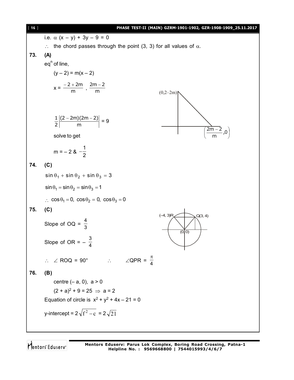17.5. 
$$
\alpha
$$
 (x - y) + 3y - 9 = 0  
\n∴ the chord passes through the point (3, 3) for all values of  $\alpha$ .  
\n73. **(A)**  
\neq<sub>q</sub>° of line,  
\n(y - 2) = m(x - 2)  
\n $x = \frac{-2 + 2m}{m}, \frac{2m - 2}{m}$   
\n $\frac{1}{2} \left| \frac{(2 - 2m)(2m - 2)}{m} \right| = 9$   
\nsolve to get  
\n $m = -2$  &  $\frac{1}{2}$   
\n74. **(C)**  
\n $\sin \theta_1 + \sin \theta_2 + \sin \theta_3 = 3$   
\n $\sin \theta_1 = \sin \theta_2 = \sin \theta_3 = 1$   
\n∴  $\cos \theta_1 = 0, \cos \theta_2 = 0, \cos \theta_3 = 0$   
\n75. **(C)**  
\nSlope of  $OQ = \frac{4}{3}$   
\n∴  $\angle ROQ = 90^\circ$  ∴  $\angle QPR = \frac{\pi}{4}$   
\n76. **(B)**  
\ncentre (-a, 0), a > 0  
\n $(2 + a)^2 + 9 = 25 \Rightarrow a = 2$   
\nEquation of circle is  $x^2 + y^2 + 4x - 21 = 0$   
\ny-intercept =  $2\sqrt{t^2 - c} = 2\sqrt{21}$ 

Mentors<sup>®</sup> Eduserv<sup>®</sup>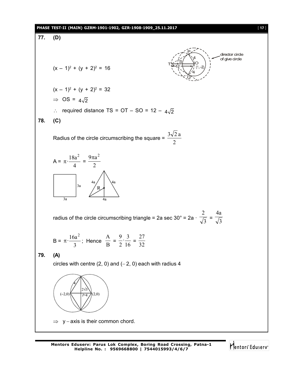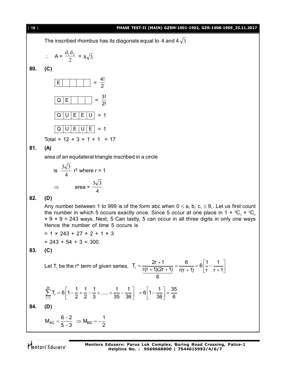

Mentors<sup>®</sup> Eduserv<sup>®</sup>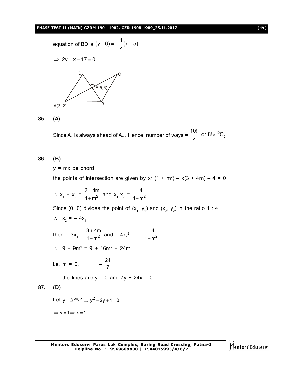# **PHASE TEST-II (MAIN) GZRM-1901-1902, GZR-1908-1909\_25.11.2017** [ **19** ]

equation of BD is 1 (y 6) (x 5) 2 2y x – 17 0 A(3, 2) D C E(5,6) B **85. (A)** Since A<sup>1</sup> is always ahead of A<sup>2</sup> . Hence, number of ways = <sup>10</sup> 2 10! or 8! C 2 **86. (B)** y = mx be chord the points of intersection are given by x<sup>2</sup> (1 + m<sup>2</sup> ) – x(3 + 4m) – 4 = 0 x<sup>1</sup> + x<sup>2</sup> = 2 3 4m 1 m and x<sup>1</sup> x2 = 2 –4 1 m Since (0, 0) divides the point of (x<sup>1</sup> , y<sup>1</sup> ) and (x<sup>2</sup> , y<sup>2</sup> ) in the ratio 1 : 4 x<sup>2</sup> = – 4x<sup>1</sup> then – 3x<sup>1</sup> = 2 3 4m 1 m and – 4x<sup>1</sup> 2 = – 2 –4 1 m 9 + 9m<sup>2</sup> = 9 + 16m<sup>2</sup> + 24m i.e. m = 0, – 24 7 the lines are y = 0 and 7y + 24x = 0 **87. (D)** Let <sup>7</sup> log x y 3 <sup>2</sup> y 2y 1 0 y 1 x 1

Mentors<sup>e</sup> Eduserv<sup>-</sup>